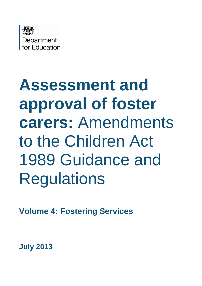

# **Assessment and approval of foster carers:** Amendments to the Children Act 1989 Guidance and **Regulations**

**Volume 4: Fostering Services**

**July 2013**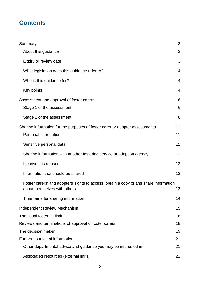# **Contents**

| Summary                                                                                                               | 3              |
|-----------------------------------------------------------------------------------------------------------------------|----------------|
| About this guidance                                                                                                   | 3              |
| Expiry or review date                                                                                                 | 3              |
| What legislation does this guidance refer to?                                                                         | $\overline{4}$ |
| Who is this guidance for?                                                                                             | 4              |
| Key points                                                                                                            | $\overline{4}$ |
| Assessment and approval of foster carers                                                                              | 6              |
| Stage 1 of the assessment                                                                                             | 6              |
| Stage 2 of the assessment                                                                                             | 8              |
| Sharing information for the purposes of foster carer or adopter assessments                                           | 11             |
| Personal information                                                                                                  | 11             |
| Sensitive personal data                                                                                               | 11             |
| Sharing information with another fostering service or adoption agency                                                 | 12             |
| If consent is refused                                                                                                 | 12             |
| Information that should be shared                                                                                     | 12             |
| Foster carers' and adopters' rights to access, obtain a copy of and share information<br>about themselves with others | 13             |
| Timeframe for sharing information                                                                                     | 14             |
| <b>Independent Review Mechanism</b>                                                                                   | 15             |
| The usual fostering limit                                                                                             | 16             |
| Reviews and terminations of approval of foster carers                                                                 | 18             |
| The decision maker                                                                                                    | 19             |
| Further sources of information                                                                                        | 21             |
| Other departmental advice and guidance you may be interested in                                                       | 21             |
| Associated resources (external links)                                                                                 | 21             |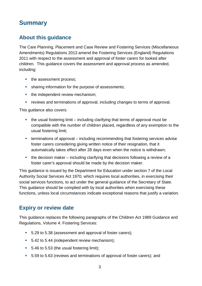# <span id="page-2-0"></span>**Summary**

## <span id="page-2-1"></span>**About this guidance**

The Care Planning, Placement and Case Review and Fostering Services (Miscellaneous Amendments) Regulations 2013 amend the Fostering Services (England) Regulations 2011 with respect to the assessment and approval of foster carers for looked after children. This guidance covers the assessment and approval process as amended, including:

- the assessment process;
- **sharing information for the purpose of assessments;**
- the independent review mechanism;
- reviews and terminations of approval, including changes to terms of approval.

This guidance also covers:

- $\blacksquare$  the usual fostering limit including clarifying that terms of approval must be compatible with the number of children placed, regardless of any exemption to the usual fostering limit;
- terminations of approval including recommending that fostering services advise foster carers considering giving written notice of their resignation, that it automatically takes effect after 28 days even when the notice is withdrawn;
- $\blacksquare$  the decision maker including clarifying that decisions following a review of a foster carer's approval should be made by the decision maker.

This guidance is issued by the Department for Education under section 7 of the Local Authority Social Services Act 1970, which requires local authorities, in exercising their social services functions, to act under the general guidance of the Secretary of State. This guidance should be complied with by local authorities when exercising these functions, unless local circumstances indicate exceptional reasons that justify a variation.

#### <span id="page-2-2"></span>**Expiry or review date**

This guidance replaces the following paragraphs of the Children Act 1989 Guidance and Regulations, Volume 4: Fostering Services:

- 5.29 to 5.38 (assessment and approval of foster carers);
- 5.42 to 5.44 (independent review mechanism);
- 5.46 to 5.53 (the usual fostering limit);
- 5.59 to 5.63 (reviews and terminations of approval of foster carers); and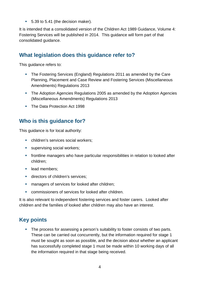■ 5.39 to 5.41 (the decision maker).

It is intended that a consolidated version of the Children Act 1989 Guidance, Volume 4: Fostering Services will be published in 2014. This guidance will form part of that consolidated guidance.

#### <span id="page-3-0"></span>**What legislation does this guidance refer to?**

This guidance refers to:

- The Fostering Services (England) Regulations 2011 as amended by the Care Planning, Placement and Case Review and Fostering Services (Miscellaneous Amendments) Regulations 2013
- **The Adoption Agencies Regulations 2005 as amended by the Adoption Agencies** (Miscellaneous Amendments) Regulations 2013
- The Data Protection Act 1998

#### <span id="page-3-1"></span>**Who is this guidance for?**

This guidance is for local authority:

- children's services social workers;
- **supervising social workers;**
- **frontline managers who have particular responsibilities in relation to looked after** children;
- **lead members;**
- **directors of children's services;**
- **EXECUTE:** managers of services for looked after children;
- commissioners of services for looked after children.

It is also relevant to independent fostering services and foster carers. Looked after children and the families of looked after children may also have an interest.

## <span id="page-3-2"></span>**Key points**

The process for assessing a person's suitability to foster consists of two parts. These can be carried out concurrently, but the information required for stage 1 must be sought as soon as possible, and the decision about whether an applicant has successfully completed stage 1 must be made within 10 working days of all the information required in that stage being received.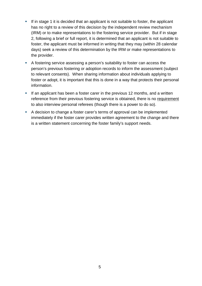- If in stage 1 it is decided that an applicant is not suitable to foster, the applicant has no right to a review of this decision by the independent review mechanism (IRM) or to make representations to the fostering service provider. But if in stage 2, following a brief or full report, it is determined that an applicant is not suitable to foster, the applicant must be informed in writing that they may (within 28 calendar days) seek a review of this determination by the IRM or make representations to the provider.
- A fostering service assessing a person's suitability to foster can access the person's previous fostering or adoption records to inform the assessment (subject to relevant consents). When sharing information about individuals applying to foster or adopt, it is important that this is done in a way that protects their personal information.
- If an applicant has been a foster carer in the previous 12 months, and a written reference from their previous fostering service is obtained, there is no requirement to also interview personal referees (though there is a power to do so).
- A decision to change a foster carer's terms of approval can be implemented immediately if the foster carer provides written agreement to the change and there is a written statement concerning the foster family's support needs.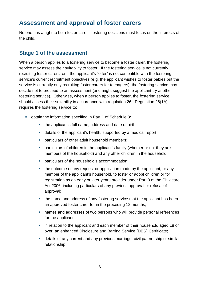## <span id="page-5-0"></span>**Assessment and approval of foster carers**

No one has a right to be a foster carer - fostering decisions must focus on the interests of the child.

#### <span id="page-5-1"></span>**Stage 1 of the assessment**

When a person applies to a fostering service to become a foster carer, the fostering service may assess their suitability to foster. If the fostering service is not currently recruiting foster carers, or if the applicant's "offer" is not compatible with the fostering service's current recruitment objectives (e.g. the applicant wishes to foster babies but the service is currently only recruiting foster carers for teenagers), the fostering service may decide not to proceed to an assessment (and might suggest the applicant try another fostering service). Otherwise, when a person applies to foster, the fostering service should assess their suitability in accordance with regulation 26. Regulation 26(1A) requires the fostering service to:

- obtain the information specified in Part 1 of Schedule 3:
	- the applicant's full name, address and date of birth;
	- details of the applicant's health, supported by a medical report;
	- **•** particulars of other adult household members;
	- particulars of children in the applicant's family (whether or not they are members of the household) and any other children in the household;
	- **•** particulars of the household's accommodation;
	- the outcome of any request or application made by the applicant, or any member of the applicant's household, to foster or adopt children or for registration as an early or later years provider under Part 3 of the Childcare Act 2006, including particulars of any previous approval or refusal of approval;
	- the name and address of any fostering service that the applicant has been an approved foster carer for in the preceding 12 months;
	- names and addresses of two persons who will provide personal references for the applicant;
	- **EXTERN** in relation to the applicant and each member of their household aged 18 or over, an enhanced Disclosure and Barring Service (DBS) Certificate;
	- details of any current and any previous marriage, civil partnership or similar relationship.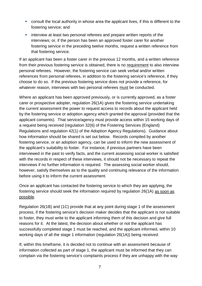- consult the local authority in whose area the applicant lives, if this is different to the fostering service; and
- **EXECT** interview at least two personal referees and prepare written reports of the interviews; or, if the person has been an approved foster carer for another fostering service in the preceding twelve months, request a written reference from that fostering service.

If an applicant has been a foster carer in the previous 12 months, and a written reference from their previous fostering service is obtained, there is no requirement to also interview personal referees. However, the fostering service can seek verbal and/or written references from personal referees, in addition to the fostering service's reference, if they choose to do so. If the previous fostering service does not provide a reference, for whatever reason, interviews with two personal referees must be conducted.

Where an applicant has been approved previously, or is currently approved, as a foster carer or prospective adopter, regulation 26(1A) gives the fostering service undertaking the current assessment the power to request access to records about the applicant held by the fostering service or adoption agency which granted the approval (provided that the applicant consents). That service/agency must provide access within 15 working days of a request being received (regulation 32(6) of the Fostering Services (England) Regulations and regulation 42(1) of the Adoption Agency Regulations). Guidance about how information should be shared is set out below. Records compiled by another fostering service, or an adoption agency, can be used to inform the new assessment of the applicant's suitability to foster. For instance, if previous partners have been interviewed in the past to verify facts, and the current assessing social worker is satisfied with the records in respect of these interviews, it should not be necessary to repeat the interviews if no further information is required. The assessing social worker should, however, satisfy themselves as to the quality and continuing relevance of the information before using it to inform the current assessment.

Once an applicant has contacted the fostering service to which they are applying, the fostering service should seek the information required by regulation 26(1A) as soon as possible.

Regulation 26(1B) and (1C) provide that at any point during stage 1 of the assessment process, if the fostering service's decision maker decides that the applicant is not suitable to foster, they must write to the applicant informing them of this decision and give full reasons for it. At the latest, the decision about whether or not the applicant has successfully completed stage 1 must be reached, and the applicant informed, within 10 working days of all the stage 1 information (regulation 26(1A)) being received.

If, within this timeframe, it is decided not to continue with an assessment because of information collected as part of stage 1, the applicant must be informed that they can complain via the fostering service's complaints process if they are unhappy with the way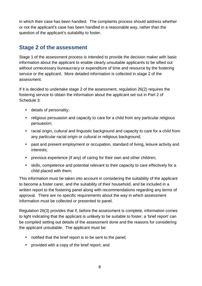in which their case has been handled. The complaints process should address whether or not the applicant's case has been handled in a reasonable way, rather than the question of the applicant's suitability to foster.

#### <span id="page-7-0"></span>**Stage 2 of the assessment**

Stage 1 of the assessment process is intended to provide the decision maker with basic information about the applicant to enable clearly unsuitable applicants to be sifted out without unnecessary bureaucracy or expenditure of time and resource by the fostering service or the applicant. More detailed information is collected in stage 2 of the assessment.

If it is decided to undertake stage 2 of the assessment, regulation 26(2) requires the fostering service to obtain the information about the applicant set out in Part 2 of Schedule 3:

- **details of personality;**
- religious persuasion and capacity to care for a child from any particular religious persuasion;
- racial origin, cultural and linguistic background and capacity to care for a child from any particular racial origin or cultural or religious background;
- **•** past and present employment or occupation, standard of living, leisure activity and interests;
- **•** previous experience (if any) of caring for their own and other children;
- skills, competence and potential relevant to their capacity to care effectively for a child placed with them.

This information must be taken into account in considering the suitability of the applicant to become a foster carer, and the suitability of their household, and be included in a written report to the fostering panel along with recommendations regarding any terms of approval. There are no specific requirements about the way in which assessment information must be collected or presented to panel.

Regulation 26(3) provides that if, before the assessment is complete, information comes to light indicating that the applicant is unlikely to be suitable to foster, a 'brief report' can be compiled setting out details of the assessment done and the reasons for considering the applicant unsuitable. The applicant must be:

- notified that the brief report is to be sent to the panel;
- **Perovided with a copy of the brief report; and**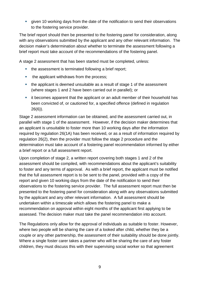given 10 working days from the date of the notification to send their observations to the fostering service provider.

The brief report should then be presented to the fostering panel for consideration, along with any observations submitted by the applicant and any other relevant information. The decision maker's determination about whether to terminate the assessment following a brief report must take account of the recommendations of the fostering panel.

A stage 2 assessment that has been started must be completed, unless:

- the assessment is terminated following a brief report;
- the applicant withdraws from the process;
- the applicant is deemed unsuitable as a result of stage 1 of the assessment (where stages 1 and 2 have been carried out in parallel); or
- **EXTER** it becomes apparent that the applicant or an adult member of their household has been convicted of, or cautioned for, a specified offence (defined in regulation 26(6)).

Stage 2 assessment information can be obtained, and the assessment carried out, in parallel with stage 1 of the assessment. However, if the decision maker determines that an applicant is unsuitable to foster more than 10 working days after the information required by regulation 26(1A) has been received, or as a result of information required by regulation 26(2), then the provider must follow the stage 2 procedure and the determination must take account of a fostering panel recommendation informed by either a brief report or a full assessment report.

Upon completion of stage 2, a written report covering both stages 1 and 2 of the assessment should be compiled, with recommendations about the applicant's suitability to foster and any terms of approval. As with a brief report, the applicant must be notified that the full assessment report is to be sent to the panel, provided with a copy of the report and given 10 working days from the date of the notification to send their observations to the fostering service provider. The full assessment report must then be presented to the fostering panel for consideration along with any observations submitted by the applicant and any other relevant information. A full assessment should be undertaken within a timescale which allows the fostering panel to make a recommendation on approval within eight months of the applicant first applying to be assessed. The decision maker must take the panel recommendation into account.

The Regulations only allow for the approval of individuals as suitable to foster. However, where two people will be sharing the care of a looked after child, whether they be a couple or any other partnership, the assessment of their suitability should be done jointly. Where a single foster carer takes a partner who will be sharing the care of any foster children, they must discuss this with their supervising social worker so that agreement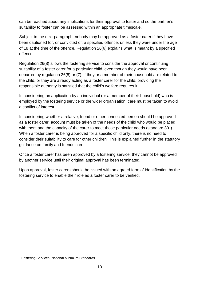can be reached about any implications for their approval to foster and so the partner's suitability to foster can be assessed within an appropriate timescale.

Subject to the next paragraph, nobody may be approved as a foster carer if they have been cautioned for, or convicted of, a specified offence, unless they were under the age of 18 at the time of the offence. Regulation 26(6) explains what is meant by a specified offence.

Regulation 26(8) allows the fostering service to consider the approval or continuing suitability of a foster carer for a particular child, even though they would have been debarred by regulation 26(5) or (7), if they or a member of their household are related to the child, or they are already acting as a foster carer for the child, providing the responsible authority is satisfied that the child's welfare requires it.

In considering an application by an individual (or a member of their household) who is employed by the fostering service or the wider organisation, care must be taken to avoid a conflict of interest.

In considering whether a relative, friend or other connected person should be approved as a foster carer, account must be taken of the needs of the child who would be placed with them and the capacity of the carer to meet those particular needs (standard 30<sup>[1](#page-9-0)</sup>). When a foster carer is being approved for a specific child only, there is no need to consider their suitability to care for other children. This is explained further in the statutory guidance on family and friends care.

Once a foster carer has been approved by a fostering service, they cannot be approved by another service until their original approval has been terminated.

Upon approval, foster carers should be issued with an agreed form of identification by the fostering service to enable their role as a foster carer to be verified.

<span id="page-9-0"></span><sup>&</sup>lt;sup>1</sup> Fostering Services: National Minimum Standards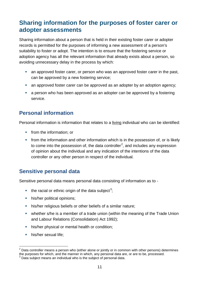# <span id="page-10-0"></span>**Sharing information for the purposes of foster carer or adopter assessments**

Sharing information about a person that is held in their existing foster carer or adopter records is permitted for the purposes of informing a new assessment of a person's suitability to foster or adopt. The intention is to ensure that the fostering service or adoption agency has all the relevant information that already exists about a person, so avoiding unnecessary delay in the process by which:

- an approved foster carer, or person who was an approved foster carer in the past, can be approved by a new fostering service;
- an approved foster carer can be approved as an adopter by an adoption agency;
- **a** a person who has been approved as an adopter can be approved by a fostering service.

## <span id="page-10-1"></span>**Personal information**

Personal information is information that relates to a living individual who can be identified:

- **from the information: or**
- **from the information and other information which is in the possession of, or is likely** to come into the possession of, the data controller<sup>[2](#page-10-3)</sup>, and includes any expression of opinion about the individual and any indication of the intentions of the data controller or any other person in respect of the individual.

## <span id="page-10-2"></span>**Sensitive personal data**

Sensitive personal data means personal data consisting of information as to -

- $\blacksquare$  the racial or ethnic origin of the data subject<sup>[3](#page-10-4)</sup>;
- his/her political opinions;
- his/her religious beliefs or other beliefs of a similar nature;
- whether s/he is a member of a trade union (within the meaning of the Trade Union and Labour Relations (Consolidation) Act 1992);
- **his/her physical or mental health or condition;**
- **his/her sexual life;**

<span id="page-10-3"></span> $2$  Data controller means a person who (either alone or jointly or in common with other persons) determines the purposes for which, and the manner in which, any personal data are, or are to be, processed.  $3$  Data subject means an individual who is the subject of personal data.

<span id="page-10-4"></span>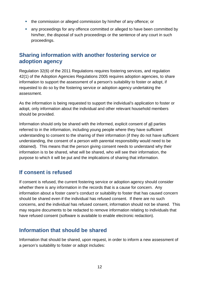- **the commission or alleged commission by him/her of any offence; or**
- any proceedings for any offence committed or alleged to have been committed by him/her, the disposal of such proceedings or the sentence of any court in such proceedings.

#### <span id="page-11-0"></span>**Sharing information with another fostering service or adoption agency**

Regulation 32(6) of the 2011 Regulations requires fostering services, and regulation 42(1) of the Adoption Agencies Regulations 2005 requires adoption agencies, to share information to support the assessment of a person's suitability to foster or adopt, if requested to do so by the fostering service or adoption agency undertaking the assessment.

As the information is being requested to support the individual's application to foster or adopt, only information about the individual and other relevant household members should be provided.

Information should only be shared with the informed, explicit consent of all parties referred to in the information, including young people where they have sufficient understanding to consent to the sharing of their information (if they do not have sufficient understanding, the consent of a person with parental responsibility would need to be obtained). This means that the person giving consent needs to understand why their information is to be shared, what will be shared, who will see their information, the purpose to which it will be put and the implications of sharing that information.

#### <span id="page-11-1"></span>**If consent is refused**

If consent is refused, the current fostering service or adoption agency should consider whether there is any information in the records that is a cause for concern. Any information about a foster carer's conduct or suitability to foster that has caused concern should be shared even if the individual has refused consent. If there are no such concerns, and the individual has refused consent, information should not be shared. This may require documents to be redacted to remove information relating to individuals that have refused consent (software is available to enable electronic redaction).

#### <span id="page-11-2"></span>**Information that should be shared**

Information that should be shared, upon request, in order to inform a new assessment of a person's suitability to foster or adopt includes: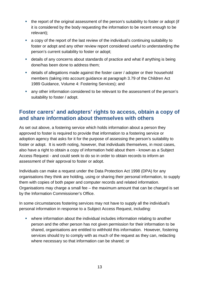- the report of the original assessment of the person's suitability to foster or adopt (if it is considered by the body requesting the information to be recent enough to be relevant);
- a copy of the report of the last review of the individual's continuing suitability to foster or adopt and any other review report considered useful to understanding the person's current suitability to foster or adopt;
- details of any concerns about standards of practice and what if anything is being done/has been done to address them;
- details of allegations made against the foster carer / adopter or their household members (taking into account guidance at paragraph 3.79 of the Children Act 1989 Guidance, Volume 4: Fostering Services); and
- any other information considered to be relevant to the assessment of the person's suitability to foster / adopt.

#### <span id="page-12-0"></span>**Foster carers' and adopters' rights to access, obtain a copy of and share information about themselves with others**

As set out above, a fostering service which holds information about a person they approved to foster is required to provide that information to a fostering service or adoption agency that asks for it for the purpose of assessing the person's suitability to foster or adopt. It is worth noting, however, that individuals themselves, in most cases, also have a right to obtain a copy of information held about them - known as a Subject Access Request - and could seek to do so in order to obtain records to inform an assessment of their approval to foster or adopt.

Individuals can make a request under the Data Protection Act 1998 (DPA) for any organisations they think are holding, using or sharing their personal information, to supply them with copies of both paper and computer records and related information. Organisations may charge a small fee – the maximum amount that can be charged is set by the Information Commissioner's Office.

In some circumstances fostering services may not have to supply all the individual's personal information in response to a Subject Access Request, including:

 where information about the individual includes information relating to another person and the other person has not given permission for their information to be shared, organisations are entitled to withhold this information. However, fostering services should try to comply with as much of the request as they can, redacting where necessary so that information can be shared; or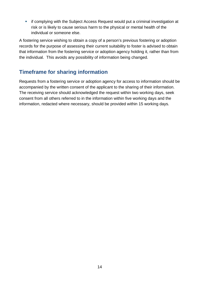**F** if complying with the Subject Access Request would put a criminal investigation at risk or is likely to cause serious harm to the physical or mental health of the individual or someone else.

A fostering service wishing to obtain a copy of a person's previous fostering or adoption records for the purpose of assessing their current suitability to foster is advised to obtain that information from the fostering service or adoption agency holding it, rather than from the individual. This avoids any possibility of information being changed.

## <span id="page-13-0"></span>**Timeframe for sharing information**

Requests from a fostering service or adoption agency for access to information should be accompanied by the written consent of the applicant to the sharing of their information. The receiving service should acknowledged the request within two working days, seek consent from all others referred to in the information within five working days and the information, redacted where necessary, should be provided within 15 working days.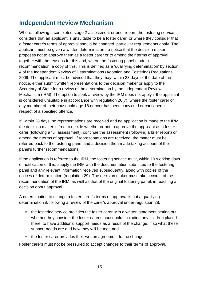# <span id="page-14-0"></span>**Independent Review Mechanism**

Where, following a completed stage 2 assessment or brief report, the fostering service considers that an applicant is unsuitable to be a foster carer, or where they consider that a foster carer's terms of approval should be changed, particular requirements apply. The applicant must be given a written determination - a notice that the decision maker proposes not to approve them as a foster carer or to amend their terms of approval, together with the reasons for this and, where the fostering panel made a recommendation, a copy of this. This is defined as a 'qualifying determination' by section 4 of the Independent Review of Determinations (Adoption and Fostering) Regulations 2009. The applicant must be advised that they may, within 28 days of the date of the notice, either submit written representations to the decision maker or apply to the Secretary of State for a review of the determination by the Independent Review Mechanism (IRM). The option to seek a review by the IRM does not apply if the applicant is considered unsuitable in accordance with regulation 26(7), where the foster carer or any member of their household age 18 or over has been convicted or cautioned in respect of a specified offence.

If, within 28 days, no representations are received and no application is made to the IRM, the decision maker is free to decide whether or not to approve the applicant as a foster carer (following a full assessment), continue the assessment (following a brief report) or amend their terms of approval. If representations are received, the matter must be referred back to the fostering panel and a decision then made taking account of the panel's further recommendations.

If the application is referred to the IRM, the fostering service must, within 10 working days of notification of this, supply the IRM with the documentation submitted to the fostering panel and any relevant information received subsequently, along with copies of the notices of determination (regulation 29). The decision maker must take account of the recommendation of the IRM, as well as that of the original fostering panel, in reaching a decision about approval.

A determination to change a foster carer's terms of approval is not a qualifying determination if, following a review of the carer's approval under regulation 28:

- the fostering service provides the foster carer with a written statement setting out whether they consider the foster carer's household, including any children placed there, to have additional support needs as a result of the change, if so what these support needs are and how they will be met, and
- the foster carer provides their written agreement to the change.

Foster carers must not be pressured to accept changes to their terms of approval.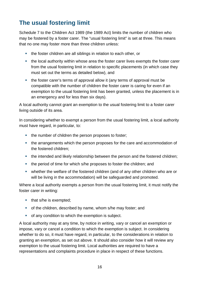# <span id="page-15-0"></span>**The usual fostering limit**

Schedule 7 to the Children Act 1989 (the 1989 Act) limits the number of children who may be fostered by a foster carer. The "usual fostering limit" is set at three. This means that no one may foster more than three children unless:

- the foster children are all siblings in relation to each other, or
- the local authority within whose area the foster carer lives exempts the foster carer from the usual fostering limit in relation to specific placements (in which case they must set out the terms as detailed below), and
- the foster carer's terms of approval allow it (any terms of approval must be compatible with the number of children the foster carer is caring for even if an exemption to the usual fostering limit has been granted, unless the placement is in an emergency and for less than six days).

A local authority cannot grant an exemption to the usual fostering limit to a foster carer living outside of its area.

In considering whether to exempt a person from the usual fostering limit, a local authority must have regard, in particular, to:

- the number of children the person proposes to foster;
- the arrangements which the person proposes for the care and accommodation of the fostered children;
- the intended and likely relationship between the person and the fostered children;
- the period of time for which s/he proposes to foster the children; and
- whether the welfare of the fostered children (and of any other children who are or will be living in the accommodation) will be safeguarded and promoted.

Where a local authority exempts a person from the usual fostering limit, it must notify the foster carer in writing:

- that s/he is exempted;
- of the children, described by name, whom s/he may foster; and
- of any condition to which the exemption is subject.

A local authority may at any time, by notice in writing, vary or cancel an exemption or impose, vary or cancel a condition to which the exemption is subject. In considering whether to do so, it must have regard, in particular, to the considerations in relation to granting an exemption, as set out above. It should also consider how it will review any exemption to the usual fostering limit. Local authorities are required to have a representations and complaints procedure in place in respect of these functions.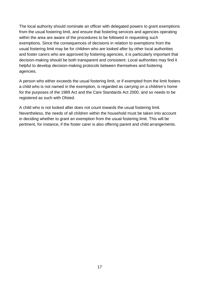The local authority should nominate an officer with delegated powers to grant exemptions from the usual fostering limit, and ensure that fostering services and agencies operating within the area are aware of the procedures to be followed in requesting such exemptions. Since the consequences of decisions in relation to exemptions from the usual fostering limit may be for children who are looked after by other local authorities and foster carers who are approved by fostering agencies, it is particularly important that decision-making should be both transparent and consistent. Local authorities may find it helpful to develop decision-making protocols between themselves and fostering agencies.

A person who either exceeds the usual fostering limit, or if exempted from the limit fosters a child who is not named in the exemption, is regarded as carrying on a children's home for the purposes of the 1989 Act and the Care Standards Act 2000, and so needs to be registered as such with Ofsted.

A child who is not looked after does not count towards the usual fostering limit. Nevertheless, the needs of all children within the household must be taken into account in deciding whether to grant an exemption from the usual fostering limit. This will be pertinent, for instance, if the foster carer is also offering parent and child arrangements.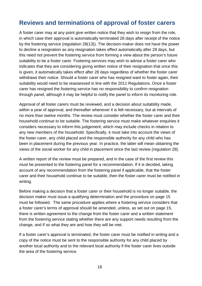## <span id="page-17-0"></span>**Reviews and terminations of approval of foster carers**

A foster carer may at any point give written notice that they wish to resign from the role, in which case their approval is automatically terminated 28 days after receipt of the notice by the fostering service (regulation 28(13)). The decision-maker does not have the power to decline a resignation as any resignation takes effect automatically after 28 days, but this need not prevent the fostering service from forming a view about the person's future suitability to be a foster carer. Fostering services may wish to advise a foster carer who indicates that they are considering giving written notice of their resignation that once this is given, it automatically takes effect after 28 days regardless of whether the foster carer withdraws their notice. Should a foster carer who has resigned want to foster again, their suitability would need to be reassessed in line with the 2011 Regulations. Once a foster carer has resigned the fostering service has no responsibility to confirm resignation through panel, although it may be helpful to notify the panel to inform its monitoring role.

Approval of all foster carers must be reviewed, and a decision about suitability made, within a year of approval, and thereafter whenever it is felt necessary, but at intervals of no more than twelve months. The review must consider whether the foster carer and their household continue to be suitable. The fostering service must make whatever enquiries it considers necessary to inform this judgement, which may include checks in relation to any new members of the household. Specifically, it must take into account the views of the foster carer, any child placed and the responsible authority for any child who has been in placement during the previous year. In practice, the latter will mean obtaining the views of the social worker for any child in placement since the last review (regulation 28).

A written report of the review must be prepared, and in the case of the first review this must be presented to the fostering panel for a recommendation. If it is decided, taking account of any recommendation from the fostering panel if applicable, that the foster carer and their household continue to be suitable, then the foster carer must be notified in writing.

Before making a decision that a foster carer or their household is no longer suitable, the decision maker must issue a qualifying determination and the procedure on page 15 must be followed. The same procedure applies where a fostering service considers that a foster carer's terms of approval should be amended, unless, as set out on page 15, there is written agreement to the change from the foster carer and a written statement from the fostering service stating whether there are any support needs resulting from the change, and if so what they are and how they will be met.

If a foster carer's approval is terminated, the foster carer must be notified in writing and a copy of the notice must be sent to the responsible authority for any child placed by another local authority and to the relevant local authority if the foster carer lives outside the area of the fostering service.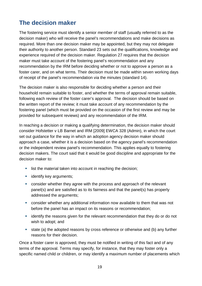# <span id="page-18-0"></span>**The decision maker**

The fostering service must identify a senior member of staff (usually referred to as the decision maker) who will receive the panel's recommendations and make decisions as required. More than one decision maker may be appointed, but they may not delegate their authority to another person. Standard 23 sets out the qualifications, knowledge and experience required of the decision maker. Regulation 27 requires that the decision maker must take account of the fostering panel's recommendation and any recommendation by the IRM before deciding whether or not to approve a person as a foster carer, and on what terms. Their decision must be made within seven working days of receipt of the panel's recommendation via the minutes (standard 14).

The decision maker is also responsible for deciding whether a person and their household remain suitable to foster, and whether the terms of approval remain suitable, following each review of the foster carer's approval. The decision should be based on the written report of the review; it must take account of any recommendation by the fostering panel (which must be provided on the occasion of the first review and may be provided for subsequent reviews) and any recommendation of the IRM.

In reaching a decision or making a qualifying determination, the decision maker should consider Hofstetter v LB Barnet and IRM [2009] EWCA 328 (Admin), in which the court set out guidance for the way in which an adoption agency decision maker should approach a case, whether it is a decision based on the agency panel's recommendation or the independent review panel's recommendation. This applies equally to fostering decision makers. The court said that it would be good discipline and appropriate for the decision maker to:

- **EXECT** list the material taken into account in reaching the decision;
- **identify key arguments;**
- consider whether they agree with the process and approach of the relevant panel(s) and are satisfied as to its fairness and that the panel(s) has properly addressed the arguments;
- consider whether any additional information now available to them that was not before the panel has an impact on its reasons or recommendation;
- **EXT** identify the reasons given for the relevant recommendation that they do or do not wish to adopt; and
- state (a) the adopted reasons by cross reference or otherwise and (b) any further reasons for their decision.

Once a foster carer is approved, they must be notified in writing of this fact and of any terms of the approval. Terms may specify, for instance, that they may foster only a specific named child or children, or may identify a maximum number of placements which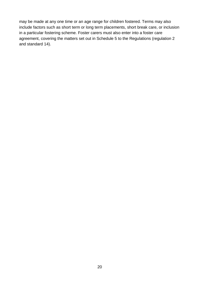may be made at any one time or an age range for children fostered. Terms may also include factors such as short term or long term placements, short break care, or inclusion in a particular fostering scheme. Foster carers must also enter into a foster care agreement, covering the matters set out in Schedule 5 to the Regulations (regulation 2 and standard 14).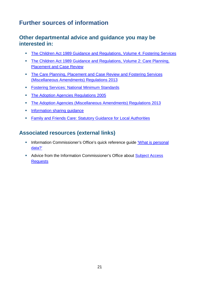# <span id="page-20-0"></span>**Further sources of information**

#### <span id="page-20-1"></span>**Other departmental advice and guidance you may be interested in:**

- **[The Children Act 1989 Guidance and Regulations, Volume 4: Fostering Services](http://www.education.gov.uk/aboutdfe/statutory/g00224400/children-act-1989-guidance-and-regulations-volume-4)**
- The Children Act 1989 Guidance and Regulations, Volume 2: Care Planning, [Placement and Case Review](http://media.education.gov.uk/assets/files/pdf/t/the%20children%20act%201989%20guidance%20and%20regulations%20vol%202%20-care%20planning%20placement%20and%20case%20review.pdf)
- **The Care Planning, Placement and Case Review and Fostering Services** [\(Miscellaneous Amendments\) Regulations 2013](http://www.legislation.gov.uk/uksi/2013/984/contents/made)
- **[Fostering Services: National Minimum Standards](http://media.education.gov.uk/assets/files/pdf/n/national%20minimum%20standards%20-%20fostering.pdf)**
- **[The Adoption Agencies Regulations 2005](http://www.legislation.gov.uk/uksi/2005/389/contents/made)**
- [The Adoption Agencies \(Miscellaneous Amendments\) Regulations 2013](http://www.legislation.gov.uk/uksi/2013/985/contents/made)
- **Information sharing quidance**
- [Family and Friends Care: Statutory Guidance for Local Authorities](http://webarchive.nationalarchives.gov.uk/20130401151715/https:/www.education.gov.uk/publications/standard/publicationDetail/Page1/DFE-00025-2011)

## <span id="page-20-2"></span>**Associated resources (external links)**

- Information Commissioner's Office's quick reference guide 'What is personal [data?'](http://www.ico.gov.uk/for_organisations/guidance_index/~/media/documents/library/Data_Protection/Detailed_specialist_guides/determining_what_is_personal_data_quick_reference_guide.ashx)
- Advice from the Information Commissioner's Office about **Subject Access [Requests](http://www.ico.org.uk/for_the_public/personal_information)**